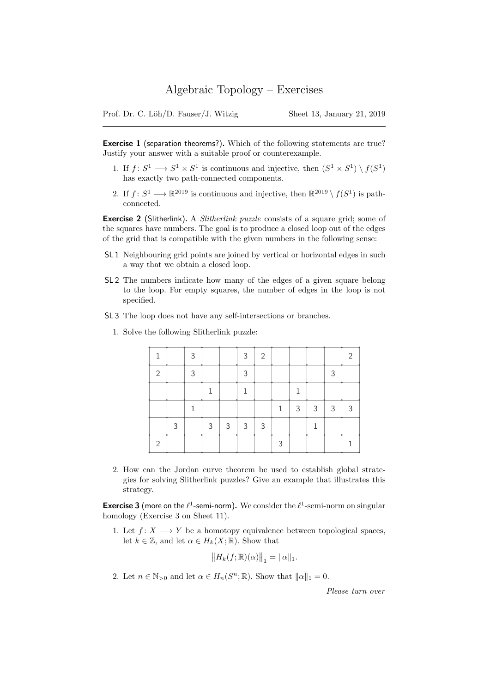Prof. Dr. C. Löh/D. Fauser/J. Witzig Sheet 13, January 21, 2019

Exercise 1 (separation theorems?). Which of the following statements are true? Justify your answer with a suitable proof or counterexample.

- 1. If  $f: S^1 \longrightarrow S^1 \times S^1$  is continuous and injective, then  $(S^1 \times S^1) \setminus f(S^1)$ has exactly two path-connected components.
- 2. If  $f: S^1 \longrightarrow \mathbb{R}^{2019}$  is continuous and injective, then  $\mathbb{R}^{2019} \setminus f(S^1)$  is pathconnected.

**Exercise 2** (Slitherlink). A *Slitherlink puzzle* consists of a square grid; some of the squares have numbers. The goal is to produce a closed loop out of the edges of the grid that is compatible with the given numbers in the following sense:

- SL 1 Neighbouring grid points are joined by vertical or horizontal edges in such a way that we obtain a closed loop.
- SL 2 The numbers indicate how many of the edges of a given square belong to the loop. For empty squares, the number of edges in the loop is not specified.
- SL 3 The loop does not have any self-intersections or branches.
	- 1. Solve the following Slitherlink puzzle:

|                |   | 3 |   |   | 3             | 2             |              |   |   |   | $\mathfrak{D}$ |
|----------------|---|---|---|---|---------------|---------------|--------------|---|---|---|----------------|
| 2              |   | 3 |   |   | Κ             |               |              |   |   | 3 |                |
|                |   |   |   |   |               |               |              |   |   |   |                |
|                |   |   |   |   |               |               | $\mathbf{1}$ | 3 | 3 | 3 | 3              |
|                | 3 |   | 3 | 3 | $\mathcal{S}$ | $\mathcal{S}$ |              |   |   |   |                |
| $\overline{2}$ |   |   |   |   |               |               | 3            |   |   |   |                |

2. How can the Jordan curve theorem be used to establish global strategies for solving Slitherlink puzzles? Give an example that illustrates this strategy.

**Exercise 3** (more on the  $\ell^1$ -semi-norm). We consider the  $\ell^1$ -semi-norm on singular homology (Exercise 3 on Sheet 11).

1. Let  $f: X \longrightarrow Y$  be a homotopy equivalence between topological spaces, let  $k \in \mathbb{Z}$ , and let  $\alpha \in H_k(X;\mathbb{R})$ . Show that

$$
||H_k(f; \mathbb{R})(\alpha)||_1 = ||\alpha||_1.
$$

2. Let  $n \in \mathbb{N}_{>0}$  and let  $\alpha \in H_n(S^n; \mathbb{R})$ . Show that  $\|\alpha\|_1 = 0$ .

Please turn over